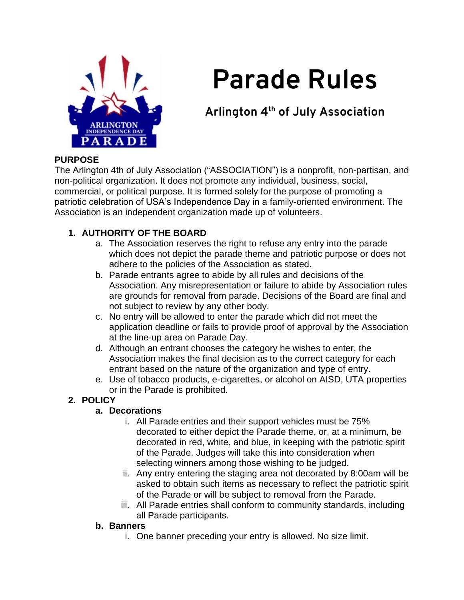

# **Parade Rules**

# **Arlington 4th of July Association**

#### **PURPOSE**

The Arlington 4th of July Association ("ASSOCIATION") is a nonprofit, non-partisan, and non-political organization. It does not promote any individual, business, social, commercial, or political purpose. It is formed solely for the purpose of promoting a patriotic celebration of USA's Independence Day in a family-oriented environment. The Association is an independent organization made up of volunteers.

# **1. AUTHORITY OF THE BOARD**

- a. The Association reserves the right to refuse any entry into the parade which does not depict the parade theme and patriotic purpose or does not adhere to the policies of the Association as stated.
- b. Parade entrants agree to abide by all rules and decisions of the Association. Any misrepresentation or failure to abide by Association rules are grounds for removal from parade. Decisions of the Board are final and not subject to review by any other body.
- c. No entry will be allowed to enter the parade which did not meet the application deadline or fails to provide proof of approval by the Association at the line-up area on Parade Day.
- d. Although an entrant chooses the category he wishes to enter, the Association makes the final decision as to the correct category for each entrant based on the nature of the organization and type of entry.
- e. Use of tobacco products, e-cigarettes, or alcohol on AISD, UTA properties or in the Parade is prohibited.

# **2. POLICY**

# **a. Decorations**

- i. All Parade entries and their support vehicles must be 75% decorated to either depict the Parade theme, or, at a minimum, be decorated in red, white, and blue, in keeping with the patriotic spirit of the Parade. Judges will take this into consideration when selecting winners among those wishing to be judged.
- ii. Any entry entering the staging area not decorated by 8:00am will be asked to obtain such items as necessary to reflect the patriotic spirit of the Parade or will be subject to removal from the Parade.
- iii. All Parade entries shall conform to community standards, including all Parade participants.

#### **b. Banners**

i. One banner preceding your entry is allowed. No size limit.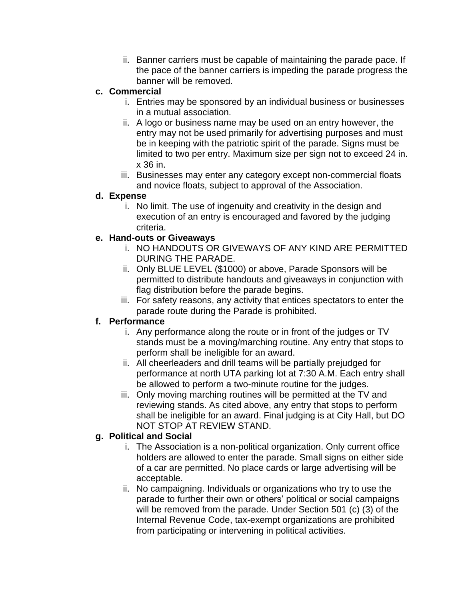ii. Banner carriers must be capable of maintaining the parade pace. If the pace of the banner carriers is impeding the parade progress the banner will be removed.

#### **c. Commercial**

- i. Entries may be sponsored by an individual business or businesses in a mutual association.
- ii. A logo or business name may be used on an entry however, the entry may not be used primarily for advertising purposes and must be in keeping with the patriotic spirit of the parade. Signs must be limited to two per entry. Maximum size per sign not to exceed 24 in. x 36 in.
- iii. Businesses may enter any category except non-commercial floats and novice floats, subject to approval of the Association.

#### **d. Expense**

i. No limit. The use of ingenuity and creativity in the design and execution of an entry is encouraged and favored by the judging criteria.

#### **e. Hand-outs or Giveaways**

- i. NO HANDOUTS OR GIVEWAYS OF ANY KIND ARE PERMITTED DURING THE PARADE.
- ii. Only BLUE LEVEL (\$1000) or above, Parade Sponsors will be permitted to distribute handouts and giveaways in conjunction with flag distribution before the parade begins.
- iii. For safety reasons, any activity that entices spectators to enter the parade route during the Parade is prohibited.

# **f. Performance**

- i. Any performance along the route or in front of the judges or TV stands must be a moving/marching routine. Any entry that stops to perform shall be ineligible for an award.
- ii. All cheerleaders and drill teams will be partially prejudged for performance at north UTA parking lot at 7:30 A.M. Each entry shall be allowed to perform a two-minute routine for the judges.
- iii. Only moving marching routines will be permitted at the TV and reviewing stands. As cited above, any entry that stops to perform shall be ineligible for an award. Final judging is at City Hall, but DO NOT STOP AT REVIEW STAND.

# **g. Political and Social**

- i. The Association is a non-political organization. Only current office holders are allowed to enter the parade. Small signs on either side of a car are permitted. No place cards or large advertising will be acceptable.
- ii. No campaigning. Individuals or organizations who try to use the parade to further their own or others' political or social campaigns will be removed from the parade. Under Section 501 (c) (3) of the Internal Revenue Code, tax-exempt organizations are prohibited from participating or intervening in political activities.